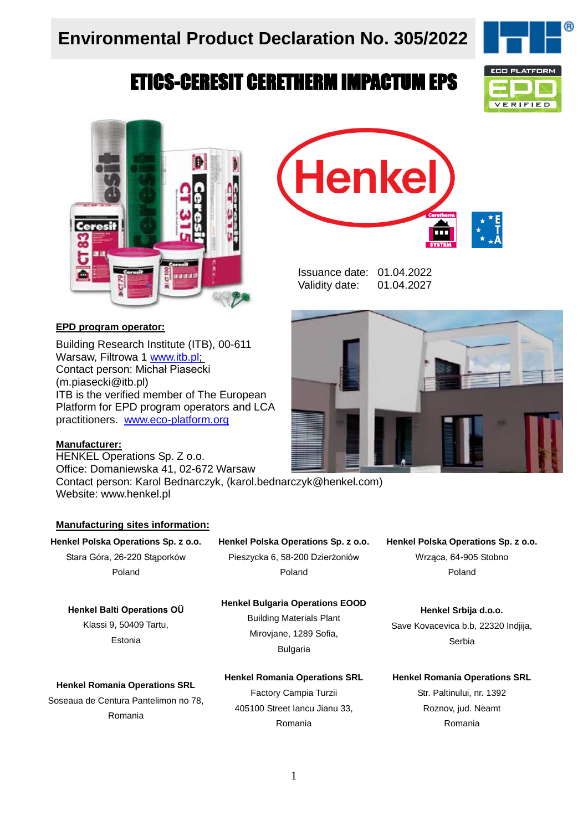# ETICS-CERESIT CERETHERM IMPACTUM EPS





#### **EPD program operator:**

Building Research Institute (ITB), 00-611 Warsaw, Filtrowa 1 [www.itb.pl;](http://www.itb.pl/) Contact person: Michał Piasecki (m.piasecki@itb.pl) ITB is the verified member of The European Platform for EPD program operators and LCA practitioners. www.eco-platform.org

#### **Manufacturer:**

HENKEL Operations Sp. Z o.o. Office: Domaniewska 41, 02-672 Warsaw

Contact person: Karol Bednarczyk, (karol.bednarczyk@henkel.com) Website: www.henkel.pl

#### **Manufacturing sites information:**

**Henkel Polska Operations Sp. z o.o.** Stara Góra, 26-220 Stąporków Poland

#### **Henkel Polska Operations Sp. z o.o.** Pieszycka 6, 58-200 Dzierżoniów Poland

**Henkel Bulgaria Operations EOOD** Building Materials Plant Mirovjane, 1289 Sofia, Bulgaria

#### **Henkel Balti Operations OÜ**

Klassi 9, 50409 Tartu, Estonia

#### **Henkel Romania Operations SRL**

**Henkel Romania Operations SRL** Soseaua de Centura Pantelimon no 78, Romania

Factory Campia Turzii 405100 Street Iancu Jianu 33, Romania



Issuance date: 01.04.2022 Validity date: 01.04.2027



**Henkel Polska Operations Sp. z o.o.** Wrząca, 64-905 Stobno Poland

**Henkel Srbija d.o.o.**  Save Kovacevica b.b, 22320 Indjija, Serbia

#### **Henkel Romania Operations SRL**

Str. Paltinului, nr. 1392 Roznov, jud. Neamt Romania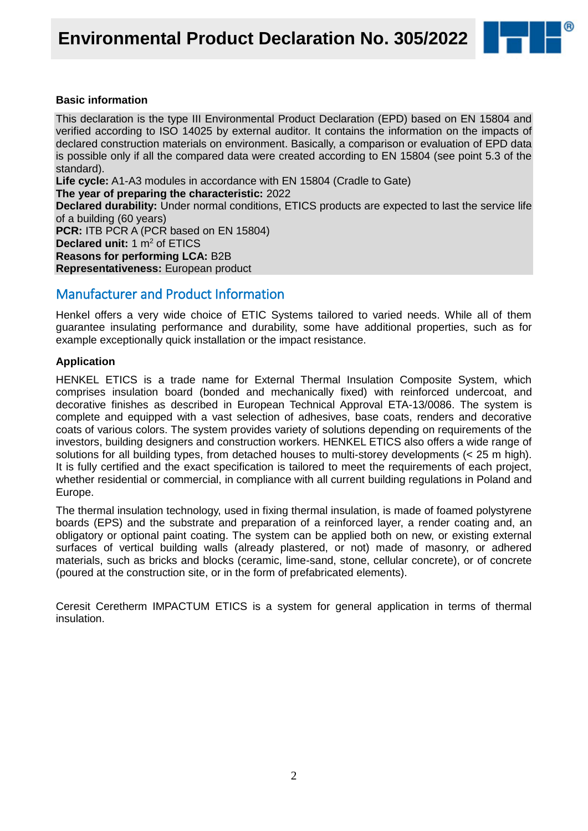

#### **Basic information**

This declaration is the type III Environmental Product Declaration (EPD) based on EN 15804 and verified according to ISO 14025 by external auditor. It contains the information on the impacts of declared construction materials on environment. Basically, a comparison or evaluation of EPD data is possible only if all the compared data were created according to EN 15804 (see point 5.3 of the standard).

**Life cycle:** A1-A3 modules in accordance with EN 15804 (Cradle to Gate)

#### **The year of preparing the characteristic:** 2022

**Declared durability:** Under normal conditions, ETICS products are expected to last the service life of a building (60 years)

**PCR:** ITB PCR A (PCR based on EN 15804) **Declared unit:** 1 m<sup>2</sup> of ETICS **Reasons for performing LCA:** B2B

**Representativeness:** European product

### Manufacturer and Product Information

Henkel offers a very wide choice of ETIC Systems tailored to varied needs. While all of them guarantee insulating performance and durability, some have additional properties, such as for example exceptionally quick installation or the impact resistance.

#### **Application**

HENKEL ETICS is a trade name for External Thermal Insulation Composite System, which comprises insulation board (bonded and mechanically fixed) with reinforced undercoat, and decorative finishes as described in European Technical Approval ETA-13/0086. The system is complete and equipped with a vast selection of adhesives, base coats, renders and decorative coats of various colors. The system provides variety of solutions depending on requirements of the investors, building designers and construction workers. HENKEL ETICS also offers a wide range of solutions for all building types, from detached houses to multi-storey developments (< 25 m high). It is fully certified and the exact specification is tailored to meet the requirements of each project, whether residential or commercial, in compliance with all current building regulations in Poland and Europe.

The thermal insulation technology, used in fixing thermal insulation, is made of foamed polystyrene boards (EPS) and the substrate and preparation of a reinforced layer, a render coating and, an obligatory or optional paint coating. The system can be applied both on new, or existing external surfaces of vertical building walls (already plastered, or not) made of masonry, or adhered materials, such as bricks and blocks (ceramic, lime-sand, stone, cellular concrete), or of concrete (poured at the construction site, or in the form of prefabricated elements).

Ceresit Ceretherm IMPACTUM ETICS is a system for general application in terms of thermal insulation.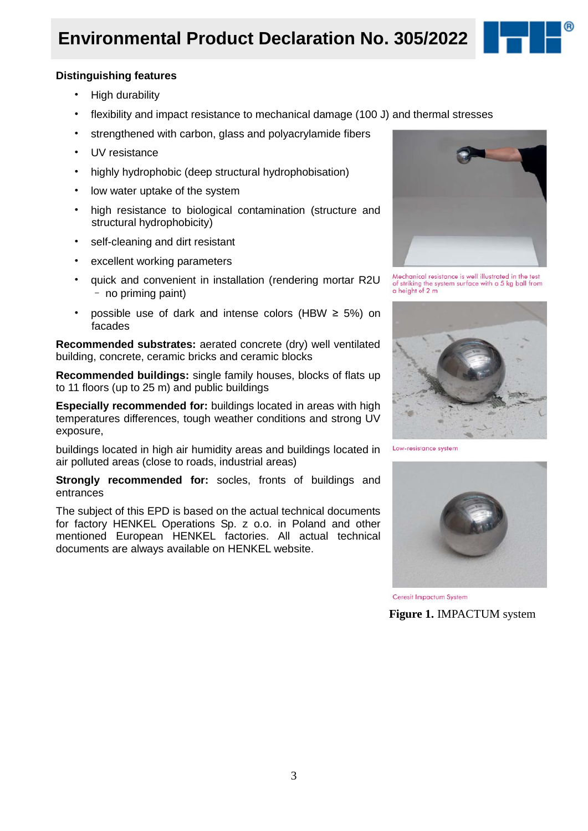# **Environmental Product Declaration No. 305/2022**



#### **Distinguishing features**

- High durability
- flexibility and impact resistance to mechanical damage (100 J) and thermal stresses
- strengthened with carbon, glass and polyacrylamide fibers
- UV resistance
- highly hydrophobic (deep structural hydrophobisation)
- low water uptake of the system
- high resistance to biological contamination (structure and structural hydrophobicity)
- self-cleaning and dirt resistant
- excellent working parameters
- quick and convenient in installation (rendering mortar R2U – no priming paint)
- possible use of dark and intense colors (HBW ≥ 5%) on facades

**Recommended substrates:** aerated concrete (dry) well ventilated building, concrete, ceramic bricks and ceramic blocks

**Recommended buildings:** single family houses, blocks of flats up to 11 floors (up to 25 m) and public buildings

**Especially recommended for:** buildings located in areas with high temperatures differences, tough weather conditions and strong UV exposure,

buildings located in high air humidity areas and buildings located in air polluted areas (close to roads, industrial areas)

**Strongly recommended for:** socles, fronts of buildings and entrances

The subject of this EPD is based on the actual technical documents for factory HENKEL Operations Sp. z o.o. in Poland and other mentioned European HENKEL factories. All actual technical documents are always available on HENKEL website.



Mechanical resistance is well illustrated in the test<br>of striking the system surface with a 5 kg ball from<br>a height of 2 m



Low-resistance system



Ceresit Impactum System

**Figure 1.** IMPACTUM system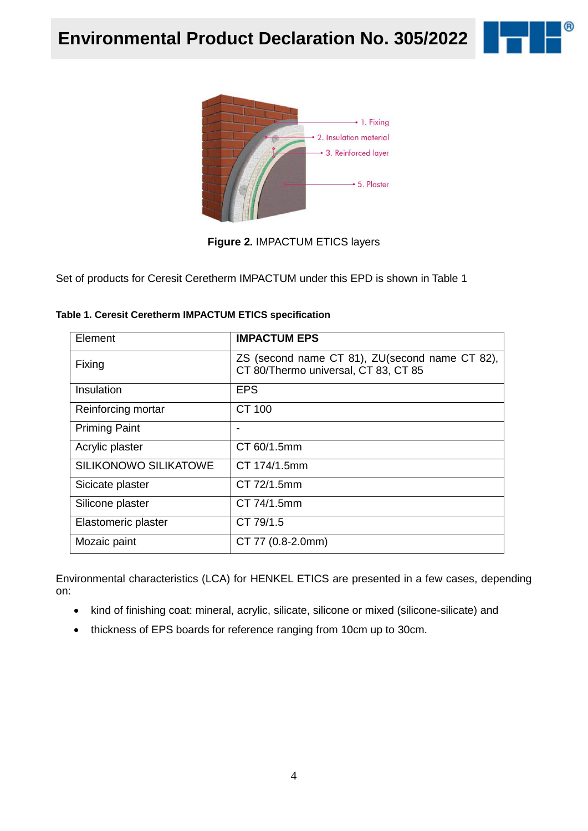



**Figure 2.** IMPACTUM ETICS layers

Set of products for Ceresit Ceretherm IMPACTUM under this EPD is shown in Table 1

| Element                      | <b>IMPACTUM EPS</b>                                                                    |
|------------------------------|----------------------------------------------------------------------------------------|
| Fixing                       | ZS (second name CT 81), ZU(second name CT 82),<br>CT 80/Thermo universal, CT 83, CT 85 |
| Insulation                   | <b>EPS</b>                                                                             |
| Reinforcing mortar           | CT 100                                                                                 |
| <b>Priming Paint</b>         |                                                                                        |
| Acrylic plaster              | CT 60/1.5mm                                                                            |
| <b>SILIKONOWO SILIKATOWE</b> | CT 174/1.5mm                                                                           |
| Sicicate plaster             | CT 72/1.5mm                                                                            |
| Silicone plaster             | CT 74/1.5mm                                                                            |
| Elastomeric plaster          | CT 79/1.5                                                                              |
| Mozaic paint                 | CT 77 (0.8-2.0mm)                                                                      |

**Table 1. Ceresit Ceretherm IMPACTUM ETICS specification**

Environmental characteristics (LCA) for HENKEL ETICS are presented in a few cases, depending on:

- kind of finishing coat: mineral, acrylic, silicate, silicone or mixed (silicone-silicate) and
- thickness of EPS boards for reference ranging from 10cm up to 30cm.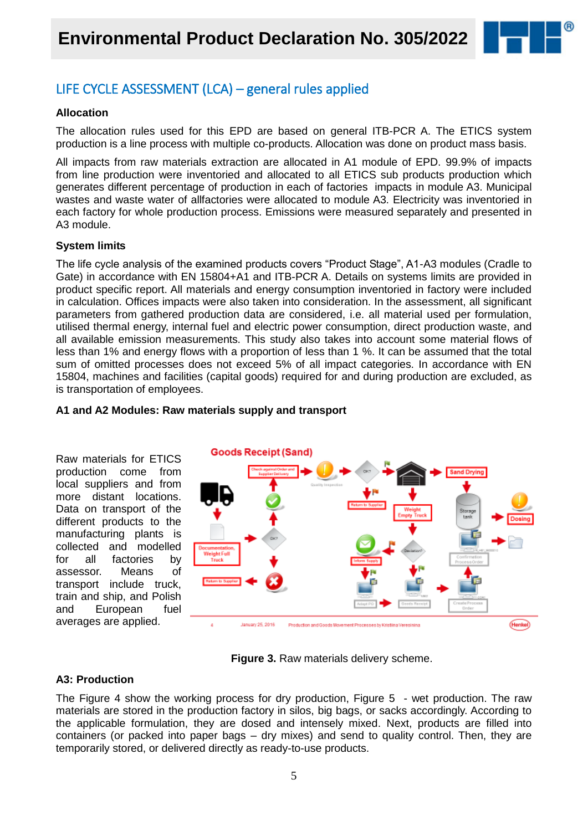

## LIFE CYCLE ASSESSMENT (LCA) – general rules applied

#### **Allocation**

The allocation rules used for this EPD are based on general ITB-PCR A. The ETICS system production is a line process with multiple co-products. Allocation was done on product mass basis.

All impacts from raw materials extraction are allocated in A1 module of EPD. 99.9% of impacts from line production were inventoried and allocated to all ETICS sub products production which generates different percentage of production in each of factories impacts in module A3. Municipal wastes and waste water of allfactories were allocated to module A3. Electricity was inventoried in each factory for whole production process. Emissions were measured separately and presented in A3 module.

#### **System limits**

The life cycle analysis of the examined products covers "Product Stage", A1-A3 modules (Cradle to Gate) in accordance with EN 15804+A1 and ITB-PCR A. Details on systems limits are provided in product specific report. All materials and energy consumption inventoried in factory were included in calculation. Offices impacts were also taken into consideration. In the assessment, all significant parameters from gathered production data are considered, i.e. all material used per formulation, utilised thermal energy, internal fuel and electric power consumption, direct production waste, and all available emission measurements. This study also takes into account some material flows of less than 1% and energy flows with a proportion of less than 1 %. It can be assumed that the total sum of omitted processes does not exceed 5% of all impact categories. In accordance with EN 15804, machines and facilities (capital goods) required for and during production are excluded, as is transportation of employees.



#### **A1 and A2 Modules: Raw materials supply and transport**

**Figure 3.** Raw materials delivery scheme.

#### **A3: Production**

The Figure 4 show the working process for dry production, Figure 5 - wet production. The raw materials are stored in the production factory in silos, big bags, or sacks accordingly. According to the applicable formulation, they are dosed and intensely mixed. Next, products are filled into containers (or packed into paper bags – dry mixes) and send to quality control. Then, they are temporarily stored, or delivered directly as ready-to-use products.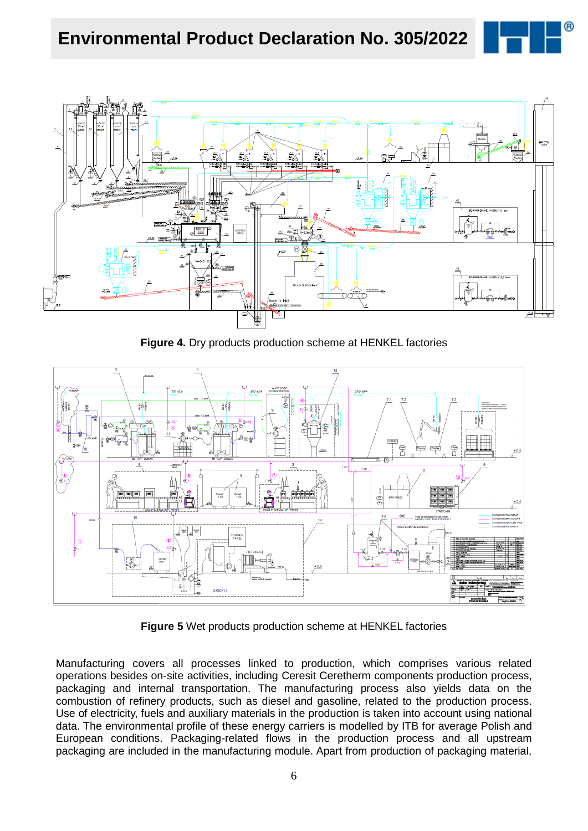



**Figure 4.** Dry products production scheme at HENKEL factories



**Figure 5** Wet products production scheme at HENKEL factories

Manufacturing covers all processes linked to production, which comprises various related operations besides on-site activities, including Ceresit Ceretherm components production process, packaging and internal transportation. The manufacturing process also yields data on the combustion of refinery products, such as diesel and gasoline, related to the production process. Use of electricity, fuels and auxiliary materials in the production is taken into account using national data. The environmental profile of these energy carriers is modelled by ITB for average Polish and European conditions. Packaging-related flows in the production process and all upstream packaging are included in the manufacturing module. Apart from production of packaging material,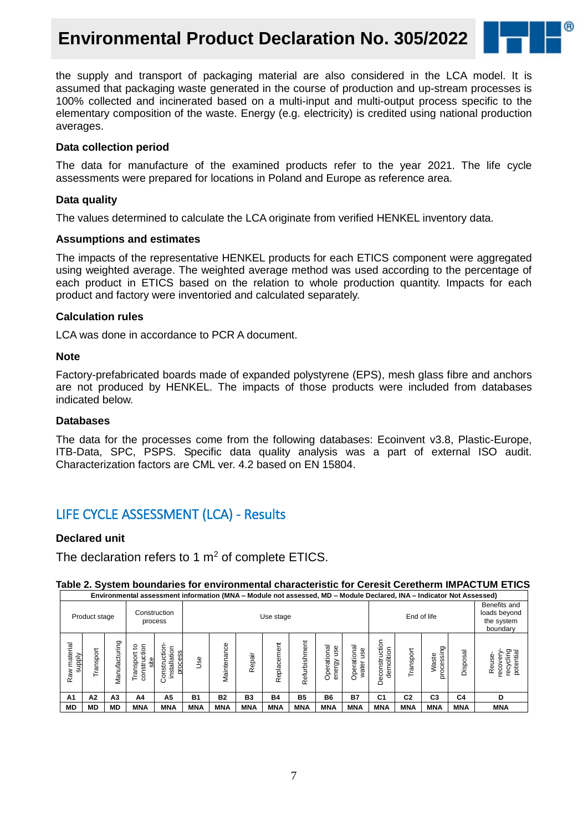# **Environmental Product Declaration No. 305/2022**



the supply and transport of packaging material are also considered in the LCA model. It is assumed that packaging waste generated in the course of production and up-stream processes is 100% collected and incinerated based on a multi-input and multi-output process specific to the elementary composition of the waste. Energy (e.g. electricity) is credited using national production averages.

#### **Data collection period**

The data for manufacture of the examined products refer to the year 2021. The life cycle assessments were prepared for locations in Poland and Europe as reference area.

#### **Data quality**

The values determined to calculate the LCA originate from verified HENKEL inventory data.

#### **Assumptions and estimates**

The impacts of the representative HENKEL products for each ETICS component were aggregated using weighted average. The weighted average method was used according to the percentage of each product in ETICS based on the relation to whole production quantity. Impacts for each product and factory were inventoried and calculated separately.

#### **Calculation rules**

LCA was done in accordance to PCR A document.

#### **Note**

Factory-prefabricated boards made of expanded polystyrene (EPS), mesh glass fibre and anchors are not produced by HENKEL. The impacts of those products were included from databases indicated below.

#### **Databases**

The data for the processes come from the following databases: Ecoinvent v3.8, Plastic-Europe, ITB-Data, SPC, PSPS. Specific data quality analysis was a part of external ISO audit. Characterization factors are CML ver. 4.2 based on EN 15804.

### LIFE CYCLE ASSESSMENT (LCA) - Results

#### **Declared unit**

The declaration refers to 1  $m<sup>2</sup>$  of complete ETICS.

#### **Table 2. System boundaries for environmental characteristic for Ceresit Ceretherm IMPACTUM ETICS**

|                           | Environmental assessment information (MNA - Module not assessed, MD - Module Declared, INA - Indicator Not Assessed) |                |                                           |                                              |            |                          |            |                   |                    |                                          |                                                        |                                  |                |                     |                |                                             |
|---------------------------|----------------------------------------------------------------------------------------------------------------------|----------------|-------------------------------------------|----------------------------------------------|------------|--------------------------|------------|-------------------|--------------------|------------------------------------------|--------------------------------------------------------|----------------------------------|----------------|---------------------|----------------|---------------------------------------------|
|                           | Product stage                                                                                                        |                |                                           | Construction<br>process                      |            | End of life<br>Use stage |            |                   |                    |                                          | Benefits and<br>loads beyond<br>the system<br>boundary |                                  |                |                     |                |                                             |
| material<br>supply<br>Raw | Transport                                                                                                            | Vlanufacturing | 5<br>₽<br>Transport<br>ಕ<br>site<br>vatru | installation<br>İδ<br>process<br>onstru<br>Ö | <b>Jse</b> | Maintenance              | Repair     | Ξ<br>Cem<br>Repla | Juen<br>Refurbishn | त्त<br>9su<br>క్<br>Tāi<br>energy<br>Ope | त्त<br>Ф<br>ation<br>water<br>Opei                     | ction<br>demolition<br>Deconstru | Transport      | processing<br>Waste | Disposal       | recycling<br>potential<br>Reuse-<br>recover |
| A <sub>1</sub>            | A2                                                                                                                   | A <sub>3</sub> | A4                                        | A5                                           | <b>B1</b>  | <b>B2</b>                | B3         | <b>B4</b>         | <b>B5</b>          | <b>B6</b>                                | <b>B7</b>                                              | C <sub>1</sub>                   | C <sub>2</sub> | C <sub>3</sub>      | C <sub>4</sub> | D                                           |
| <b>MD</b>                 | MD                                                                                                                   | MD             | <b>MNA</b>                                | <b>MNA</b>                                   | <b>MNA</b> | <b>MNA</b>               | <b>MNA</b> | <b>MNA</b>        | <b>MNA</b>         | <b>MNA</b>                               | <b>MNA</b>                                             | <b>MNA</b>                       | <b>MNA</b>     | <b>MNA</b>          | <b>MNA</b>     | <b>MNA</b>                                  |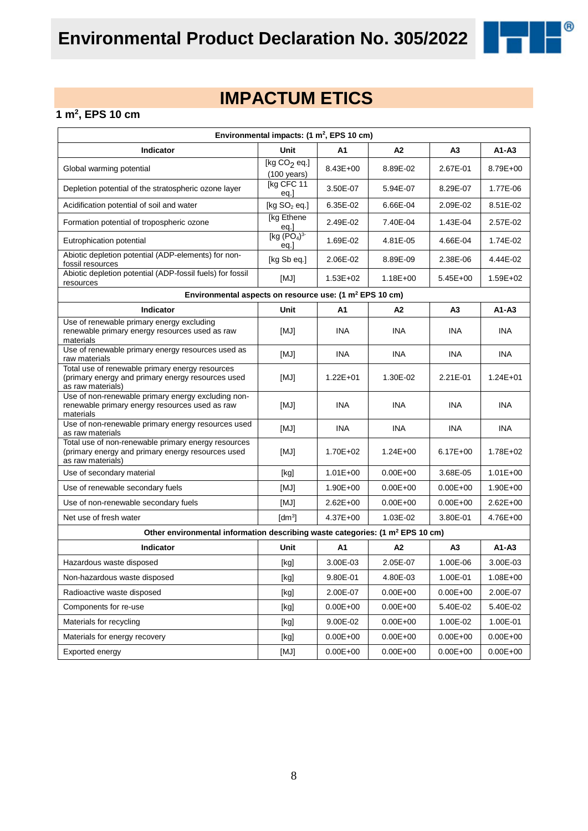

# **IMPACTUM ETICS**

#### **1 m<sup>2</sup> , EPS 10 cm**

| Environmental impacts: $(1 \text{ m}^2,$ EPS 10 cm)                                                                           |                                                                                           |              |              |                |              |  |  |  |
|-------------------------------------------------------------------------------------------------------------------------------|-------------------------------------------------------------------------------------------|--------------|--------------|----------------|--------------|--|--|--|
| Indicator                                                                                                                     | Unit                                                                                      | A1           | A2           | A3             | $A1 - A3$    |  |  |  |
| Global warming potential                                                                                                      | [kg $CO2$ eq.]<br>$(100 \text{ years})$                                                   | $8.43E + 00$ | 8.89E-02     | 2.67E-01       | 8.79E+00     |  |  |  |
| Depletion potential of the stratospheric ozone layer                                                                          | [kg CFC 11<br>eq.]                                                                        | 3.50E-07     | 5.94E-07     | 8.29E-07       | 1.77E-06     |  |  |  |
| Acidification potential of soil and water                                                                                     | [kg $SO2$ eq.]                                                                            | 6.35E-02     | 6.66E-04     | 2.09E-02       | 8.51E-02     |  |  |  |
| Formation potential of tropospheric ozone                                                                                     | [kg Ethene<br>eq.]                                                                        | 2.49E-02     | 7.40E-04     | 1.43E-04       | 2.57E-02     |  |  |  |
| Eutrophication potential                                                                                                      | [kg (PO <sub>4</sub> ) <sup>3</sup> ]<br>eq.]                                             | 1.69E-02     | 4.81E-05     | 4.66E-04       | 1.74E-02     |  |  |  |
| Abiotic depletion potential (ADP-elements) for non-<br>fossil resources                                                       | [kg Sb eq.]                                                                               | 2.06E-02     | 8.89E-09     | 2.38E-06       | 4.44E-02     |  |  |  |
| Abiotic depletion potential (ADP-fossil fuels) for fossil<br>resources                                                        | [MJ]                                                                                      | $1.53E + 02$ | $1.18E + 00$ | $5.45E+00$     | 1.59E+02     |  |  |  |
| Environmental aspects on resource use: (1 m <sup>2</sup> EPS 10 cm)                                                           |                                                                                           |              |              |                |              |  |  |  |
| Indicator                                                                                                                     | Unit                                                                                      | A1           | A2           | A <sub>3</sub> | $A1 - A3$    |  |  |  |
| Use of renewable primary energy excluding<br>renewable primary energy resources used as raw<br>materials                      | [MJ]                                                                                      | <b>INA</b>   | INA          | <b>INA</b>     | <b>INA</b>   |  |  |  |
| Use of renewable primary energy resources used as<br>raw materials                                                            | [MJ]                                                                                      | <b>INA</b>   | <b>INA</b>   | INA.           | INA.         |  |  |  |
| Total use of renewable primary energy resources<br>(primary energy and primary energy resources used<br>as raw materials)     | [MJ]                                                                                      | $1.22E + 01$ | 1.30E-02     | 2.21E-01       | $1.24E + 01$ |  |  |  |
| Use of non-renewable primary energy excluding non-<br>renewable primary energy resources used as raw<br>materials             | [MJ]                                                                                      | <b>INA</b>   | <b>INA</b>   | <b>INA</b>     | <b>INA</b>   |  |  |  |
| Use of non-renewable primary energy resources used<br>as raw materials                                                        | [MJ]                                                                                      | <b>INA</b>   | <b>INA</b>   | INA.           | INA.         |  |  |  |
| Total use of non-renewable primary energy resources<br>(primary energy and primary energy resources used<br>as raw materials) | [MJ]                                                                                      | 1.70E+02     | $1.24E + 00$ | $6.17E + 00$   | 1.78E+02     |  |  |  |
| Use of secondary material                                                                                                     | [kg]                                                                                      | $1.01E + 00$ | $0.00E + 00$ | 3.68E-05       | $1.01E + 00$ |  |  |  |
| Use of renewable secondary fuels                                                                                              | [MJ]                                                                                      | $1.90E + 00$ | $0.00E + 00$ | $0.00E + 00$   | $1.90E + 00$ |  |  |  |
| Use of non-renewable secondary fuels                                                                                          | [MJ]                                                                                      | $2.62E + 00$ | $0.00E + 00$ | $0.00E + 00$   | $2.62E + 00$ |  |  |  |
| Net use of fresh water                                                                                                        | $[dm^3]$                                                                                  | $4.37E + 00$ | 1.03E-02     | 3.80E-01       | 4.76E+00     |  |  |  |
|                                                                                                                               | Other environmental information describing waste categories: (1 m <sup>2</sup> EPS 10 cm) |              |              |                |              |  |  |  |
| <b>Indicator</b>                                                                                                              | Unit                                                                                      | A1           | A2           | A3             | $A1 - A3$    |  |  |  |
| Hazardous waste disposed                                                                                                      | [kg]                                                                                      | 3.00E-03     | 2.05E-07     | 1.00E-06       | 3.00E-03     |  |  |  |
| Non-hazardous waste disposed                                                                                                  | [kg]                                                                                      | 9.80E-01     | 4.80E-03     | 1.00E-01       | $1.08E + 00$ |  |  |  |
| Radioactive waste disposed                                                                                                    | [kg]                                                                                      | 2.00E-07     | $0.00E + 00$ | $0.00E + 00$   | 2.00E-07     |  |  |  |
| Components for re-use                                                                                                         | [kg]                                                                                      | $0.00E + 00$ | $0.00E + 00$ | 5.40E-02       | 5.40E-02     |  |  |  |
| Materials for recycling                                                                                                       | [kg]                                                                                      | 9.00E-02     | $0.00E + 00$ | 1.00E-02       | 1.00E-01     |  |  |  |
| Materials for energy recovery                                                                                                 | [kg]                                                                                      | $0.00E + 00$ | $0.00E + 00$ | $0.00E + 00$   | $0.00E + 00$ |  |  |  |
| Exported energy                                                                                                               | [MJ]                                                                                      | $0.00E + 00$ | $0.00E + 00$ | $0.00E + 00$   | $0.00E + 00$ |  |  |  |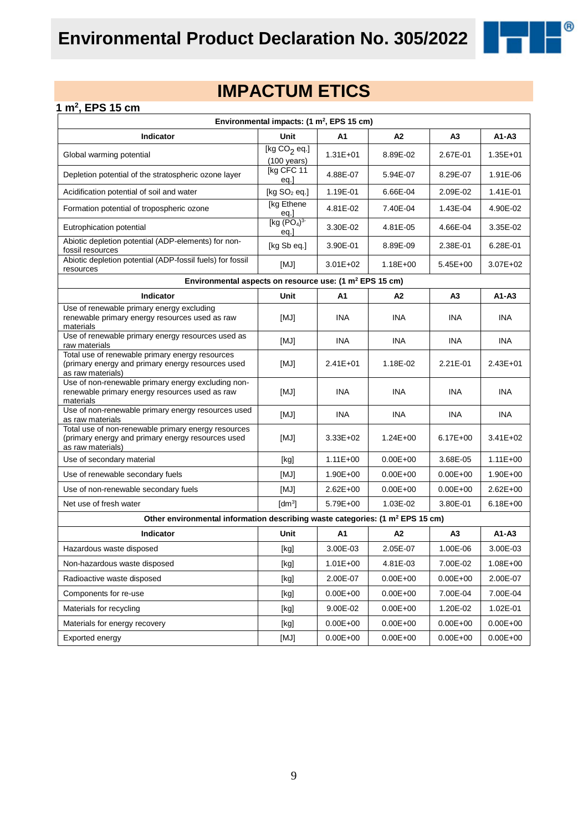

 $^{\circledR}$ 

#### **1 m<sup>2</sup> , EPS 15 cm**

| Environmental impacts: (1 m <sup>2</sup> , EPS 15 cm)                                                                         |                                                                                                                                                                                                                                                                                                                                                                                                                                                                                                                                                                                                                                                                    |              |                |                |              |  |  |
|-------------------------------------------------------------------------------------------------------------------------------|--------------------------------------------------------------------------------------------------------------------------------------------------------------------------------------------------------------------------------------------------------------------------------------------------------------------------------------------------------------------------------------------------------------------------------------------------------------------------------------------------------------------------------------------------------------------------------------------------------------------------------------------------------------------|--------------|----------------|----------------|--------------|--|--|
| Indicator                                                                                                                     | <b>Unit</b>                                                                                                                                                                                                                                                                                                                                                                                                                                                                                                                                                                                                                                                        | A1           | A2             | A <sub>3</sub> | $A1 - A3$    |  |  |
| Global warming potential                                                                                                      | [kg $CO2$ eq.]<br>$(100 \text{ years})$                                                                                                                                                                                                                                                                                                                                                                                                                                                                                                                                                                                                                            | $1.31E + 01$ | 8.89E-02       | 2.67E-01       | $1.35E + 01$ |  |  |
| Depletion potential of the stratospheric ozone layer                                                                          | [kg CFC 11<br>eq.]                                                                                                                                                                                                                                                                                                                                                                                                                                                                                                                                                                                                                                                 | 4.88E-07     | 5.94E-07       | 8.29E-07       | 1.91E-06     |  |  |
| Acidification potential of soil and water                                                                                     | [kg $SO2$ eq.]                                                                                                                                                                                                                                                                                                                                                                                                                                                                                                                                                                                                                                                     | 1.19E-01     | 6.66E-04       | 2.09E-02       | 1.41E-01     |  |  |
| Formation potential of tropospheric ozone                                                                                     | [kg Ethene<br>eq.]                                                                                                                                                                                                                                                                                                                                                                                                                                                                                                                                                                                                                                                 | 4.81E-02     | 7.40E-04       | 1.43E-04       | 4.90E-02     |  |  |
| Eutrophication potential                                                                                                      | [kg $(PO4)3$<br>eq.                                                                                                                                                                                                                                                                                                                                                                                                                                                                                                                                                                                                                                                | 3.30E-02     | 4.81E-05       | 4.66E-04       | 3.35E-02     |  |  |
| Abiotic depletion potential (ADP-elements) for non-<br>fossil resources                                                       | [kg Sb eq.]                                                                                                                                                                                                                                                                                                                                                                                                                                                                                                                                                                                                                                                        | 3.90E-01     | 8.89E-09       | 2.38E-01       | 6.28E-01     |  |  |
| Abiotic depletion potential (ADP-fossil fuels) for fossil<br>resources                                                        | [MJ]                                                                                                                                                                                                                                                                                                                                                                                                                                                                                                                                                                                                                                                               | $3.01E + 02$ | $1.18E + 00$   | $5.45E + 00$   | $3.07E + 02$ |  |  |
| Environmental aspects on resource use: (1 m <sup>2</sup> EPS 15 cm)                                                           |                                                                                                                                                                                                                                                                                                                                                                                                                                                                                                                                                                                                                                                                    |              |                |                |              |  |  |
| Indicator                                                                                                                     | Unit                                                                                                                                                                                                                                                                                                                                                                                                                                                                                                                                                                                                                                                               | A1           | A2             | A3             | $A1 - A3$    |  |  |
| Use of renewable primary energy excluding<br>renewable primary energy resources used as raw<br>materials                      | [MJ]                                                                                                                                                                                                                                                                                                                                                                                                                                                                                                                                                                                                                                                               | <b>INA</b>   | INA            | <b>INA</b>     | <b>INA</b>   |  |  |
| Use of renewable primary energy resources used as<br>raw materials                                                            | [MJ]                                                                                                                                                                                                                                                                                                                                                                                                                                                                                                                                                                                                                                                               | <b>INA</b>   | <b>INA</b>     | <b>INA</b>     | INA.         |  |  |
| Total use of renewable primary energy resources<br>(primary energy and primary energy resources used<br>as raw materials)     | [MJ]                                                                                                                                                                                                                                                                                                                                                                                                                                                                                                                                                                                                                                                               | $2.41E + 01$ | 1.18E-02       | 2.21E-01       | $2.43E + 01$ |  |  |
| Use of non-renewable primary energy excluding non-<br>renewable primary energy resources used as raw<br>materials             | [MJ]                                                                                                                                                                                                                                                                                                                                                                                                                                                                                                                                                                                                                                                               | <b>INA</b>   | INA            | <b>INA</b>     | <b>INA</b>   |  |  |
| Use of non-renewable primary energy resources used<br>as raw materials                                                        | [MJ]                                                                                                                                                                                                                                                                                                                                                                                                                                                                                                                                                                                                                                                               | <b>INA</b>   | <b>INA</b>     | <b>INA</b>     | <b>INA</b>   |  |  |
| Total use of non-renewable primary energy resources<br>(primary energy and primary energy resources used<br>as raw materials) | [MJ]                                                                                                                                                                                                                                                                                                                                                                                                                                                                                                                                                                                                                                                               | $3.33E + 02$ | $1.24E + 00$   | $6.17E + 00$   | $3.41E + 02$ |  |  |
| Use of secondary material                                                                                                     | [kg]                                                                                                                                                                                                                                                                                                                                                                                                                                                                                                                                                                                                                                                               | $1.11E + 00$ | $0.00E + 00$   | 3.68E-05       | $1.11E + 00$ |  |  |
| Use of renewable secondary fuels                                                                                              | [MJ]                                                                                                                                                                                                                                                                                                                                                                                                                                                                                                                                                                                                                                                               | 1.90E+00     | $0.00E + 00$   | $0.00E + 00$   | $1.90E + 00$ |  |  |
| Use of non-renewable secondary fuels                                                                                          | [MJ]                                                                                                                                                                                                                                                                                                                                                                                                                                                                                                                                                                                                                                                               | $2.62E + 00$ | $0.00E + 00$   | $0.00E + 00$   | $2.62E + 00$ |  |  |
| Net use of fresh water                                                                                                        | $\text{[dm}^3$                                                                                                                                                                                                                                                                                                                                                                                                                                                                                                                                                                                                                                                     | 5.79E+00     | 1.03E-02       | 3.80E-01       | $6.18E + 00$ |  |  |
| Other environmental information describing waste categories: (1 m <sup>2</sup> EPS 15 cm)                                     |                                                                                                                                                                                                                                                                                                                                                                                                                                                                                                                                                                                                                                                                    |              |                |                |              |  |  |
| Indicator                                                                                                                     | Unit                                                                                                                                                                                                                                                                                                                                                                                                                                                                                                                                                                                                                                                               | A1           | A <sub>2</sub> | A <sub>3</sub> | $A1 - A3$    |  |  |
| Hazardous waste disposed                                                                                                      | [kg]                                                                                                                                                                                                                                                                                                                                                                                                                                                                                                                                                                                                                                                               | 3.00E-03     | 2.05E-07       | 1.00E-06       | 3.00E-03     |  |  |
| Non-hazardous waste disposed                                                                                                  | [kg]                                                                                                                                                                                                                                                                                                                                                                                                                                                                                                                                                                                                                                                               | $1.01E + 00$ | 4.81E-03       | 7.00E-02       | $1.08E + 00$ |  |  |
| Radioactive waste disposed                                                                                                    | [kg]                                                                                                                                                                                                                                                                                                                                                                                                                                                                                                                                                                                                                                                               | 2.00E-07     | $0.00E + 00$   | $0.00E + 00$   | 2.00E-07     |  |  |
| Components for re-use                                                                                                         | $[kg] % \begin{center} % \includegraphics[width=\linewidth]{imagesSupplemental_3.png} % \end{center} % \caption { % \textit{DefNet} of the \textit{DefNet} dataset. % Note that the \textit{DefNet} and \textit{DefNet} dataset. % Note that the \textit{DefNet} and \textit{DefNet} dataset. % Note that the \textit{DefNet} and \textit{DefNet} dataset. % Note that the \textit{DefNet} and \textit{DefNet} dataset. % Note that the \textit{DefNet} and \textit{DefNet} dataset. % Note that the \textit{DefNet} and \textit{DefNet} dataset. % Note that the \textit{DefNet} and \textit{DefNet} dataset. % Note that the \textit{DefNet} and \textit{DefNet$ | $0.00E + 00$ | $0.00E + 00$   | 7.00E-04       | 7.00E-04     |  |  |
| Materials for recycling                                                                                                       | [kg]                                                                                                                                                                                                                                                                                                                                                                                                                                                                                                                                                                                                                                                               | 9.00E-02     | $0.00E + 00$   | 1.20E-02       | 1.02E-01     |  |  |
| Materials for energy recovery                                                                                                 | [kg]                                                                                                                                                                                                                                                                                                                                                                                                                                                                                                                                                                                                                                                               | $0.00E + 00$ | $0.00E + 00$   | $0.00E + 00$   | $0.00E + 00$ |  |  |
| Exported energy                                                                                                               | [MJ]                                                                                                                                                                                                                                                                                                                                                                                                                                                                                                                                                                                                                                                               | $0.00E + 00$ | $0.00E + 00$   | $0.00E + 00$   | $0.00E + 00$ |  |  |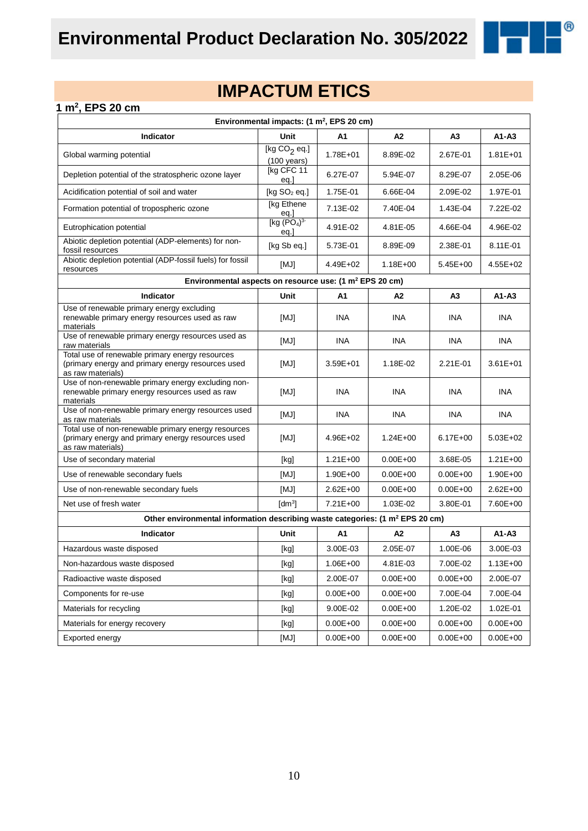

 $^{\circledR}$ 

#### **1 m<sup>2</sup> , EPS 20 cm**

|                                                                                                                               | Environmental impacts: (1 m <sup>2</sup> , EPS 20 cm)                                                                                                                                                                                                                                                                                                                                                                                                                                                                                                                                                                                                              |              |              |                |              |  |  |
|-------------------------------------------------------------------------------------------------------------------------------|--------------------------------------------------------------------------------------------------------------------------------------------------------------------------------------------------------------------------------------------------------------------------------------------------------------------------------------------------------------------------------------------------------------------------------------------------------------------------------------------------------------------------------------------------------------------------------------------------------------------------------------------------------------------|--------------|--------------|----------------|--------------|--|--|
| <b>Indicator</b>                                                                                                              | Unit                                                                                                                                                                                                                                                                                                                                                                                                                                                                                                                                                                                                                                                               | А1           | A2           | A3             | $A1 - A3$    |  |  |
| Global warming potential                                                                                                      | [kg $CO2$ eq.]<br>$(100 \text{ years})$                                                                                                                                                                                                                                                                                                                                                                                                                                                                                                                                                                                                                            | $1.78E + 01$ | 8.89E-02     | 2.67E-01       | $1.81E + 01$ |  |  |
| Depletion potential of the stratospheric ozone layer                                                                          | [kg CFC 11<br>eq.]                                                                                                                                                                                                                                                                                                                                                                                                                                                                                                                                                                                                                                                 | 6.27E-07     | 5.94E-07     | 8.29E-07       | 2.05E-06     |  |  |
| Acidification potential of soil and water                                                                                     | [kg $SO2$ eq.]                                                                                                                                                                                                                                                                                                                                                                                                                                                                                                                                                                                                                                                     | 1.75E-01     | 6.66E-04     | 2.09E-02       | 1.97E-01     |  |  |
| Formation potential of tropospheric ozone                                                                                     | [kg Ethene<br><u>eq.]</u>                                                                                                                                                                                                                                                                                                                                                                                                                                                                                                                                                                                                                                          | 7.13E-02     | 7.40E-04     | 1.43E-04       | 7.22E-02     |  |  |
| Eutrophication potential                                                                                                      | [kg (PO <sub>4</sub> ) <sup>3</sup> ]<br>eq.]                                                                                                                                                                                                                                                                                                                                                                                                                                                                                                                                                                                                                      | 4.91E-02     | 4.81E-05     | 4.66E-04       | 4.96E-02     |  |  |
| Abiotic depletion potential (ADP-elements) for non-<br>fossil resources                                                       | [kg Sb eq.]                                                                                                                                                                                                                                                                                                                                                                                                                                                                                                                                                                                                                                                        | 5.73E-01     | 8.89E-09     | 2.38E-01       | 8.11E-01     |  |  |
| Abiotic depletion potential (ADP-fossil fuels) for fossil<br>resources                                                        | [MJ]                                                                                                                                                                                                                                                                                                                                                                                                                                                                                                                                                                                                                                                               | 4.49E+02     | $1.18E + 00$ | $5.45E + 00$   | $4.55E + 02$ |  |  |
| Environmental aspects on resource use: (1 m <sup>2</sup> EPS 20 cm)                                                           |                                                                                                                                                                                                                                                                                                                                                                                                                                                                                                                                                                                                                                                                    |              |              |                |              |  |  |
| Indicator                                                                                                                     | Unit                                                                                                                                                                                                                                                                                                                                                                                                                                                                                                                                                                                                                                                               | A1           | A2           | A <sub>3</sub> | $A1 - A3$    |  |  |
| Use of renewable primary energy excluding<br>renewable primary energy resources used as raw<br>materials                      | [MJ]                                                                                                                                                                                                                                                                                                                                                                                                                                                                                                                                                                                                                                                               | INA          | INA          | <b>INA</b>     | ina          |  |  |
| Use of renewable primary energy resources used as<br>raw materials                                                            | [MJ]                                                                                                                                                                                                                                                                                                                                                                                                                                                                                                                                                                                                                                                               | <b>INA</b>   | <b>INA</b>   | <b>INA</b>     | INA.         |  |  |
| Total use of renewable primary energy resources<br>(primary energy and primary energy resources used<br>as raw materials)     | [MJ]                                                                                                                                                                                                                                                                                                                                                                                                                                                                                                                                                                                                                                                               | $3.59E + 01$ | 1.18E-02     | 2.21E-01       | $3.61E + 01$ |  |  |
| Use of non-renewable primary energy excluding non-<br>renewable primary energy resources used as raw<br>materials             | [MJ]                                                                                                                                                                                                                                                                                                                                                                                                                                                                                                                                                                                                                                                               | <b>INA</b>   | <b>INA</b>   | <b>INA</b>     | <b>INA</b>   |  |  |
| Use of non-renewable primary energy resources used<br>as raw materials                                                        | [MJ]                                                                                                                                                                                                                                                                                                                                                                                                                                                                                                                                                                                                                                                               | <b>INA</b>   | <b>INA</b>   | <b>INA</b>     | INA.         |  |  |
| Total use of non-renewable primary energy resources<br>(primary energy and primary energy resources used<br>as raw materials) | [MJ]                                                                                                                                                                                                                                                                                                                                                                                                                                                                                                                                                                                                                                                               | $4.96E + 02$ | $1.24E + 00$ | $6.17E + 00$   | $5.03E + 02$ |  |  |
| Use of secondary material                                                                                                     | [kg]                                                                                                                                                                                                                                                                                                                                                                                                                                                                                                                                                                                                                                                               | $1.21E + 00$ | $0.00E + 00$ | 3.68E-05       | $1.21E + 00$ |  |  |
| Use of renewable secondary fuels                                                                                              | [MJ]                                                                                                                                                                                                                                                                                                                                                                                                                                                                                                                                                                                                                                                               | $1.90E + 00$ | $0.00E + 00$ | $0.00E + 00$   | $1.90E + 00$ |  |  |
| Use of non-renewable secondary fuels                                                                                          | [MJ]                                                                                                                                                                                                                                                                                                                                                                                                                                                                                                                                                                                                                                                               | $2.62E + 00$ | $0.00E + 00$ | $0.00E + 00$   | $2.62E + 00$ |  |  |
| Net use of fresh water                                                                                                        | [dm <sup>3</sup> ]                                                                                                                                                                                                                                                                                                                                                                                                                                                                                                                                                                                                                                                 | $7.21E + 00$ | 1.03E-02     | 3.80E-01       | 7.60E+00     |  |  |
| Other environmental information describing waste categories: (1 m <sup>2</sup> EPS 20 cm)                                     |                                                                                                                                                                                                                                                                                                                                                                                                                                                                                                                                                                                                                                                                    |              |              |                |              |  |  |
| <b>Indicator</b>                                                                                                              | Unit                                                                                                                                                                                                                                                                                                                                                                                                                                                                                                                                                                                                                                                               | A1           | A2           | A <sub>3</sub> | $A1 - A3$    |  |  |
| Hazardous waste disposed                                                                                                      | [kg]                                                                                                                                                                                                                                                                                                                                                                                                                                                                                                                                                                                                                                                               | 3.00E-03     | 2.05E-07     | 1.00E-06       | 3.00E-03     |  |  |
| Non-hazardous waste disposed                                                                                                  | $[kg]$                                                                                                                                                                                                                                                                                                                                                                                                                                                                                                                                                                                                                                                             | 1.06E+00     | 4.81E-03     | 7.00E-02       | $1.13E + 00$ |  |  |
| Radioactive waste disposed                                                                                                    | $[kg] % \begin{center} % \includegraphics[width=\linewidth]{imagesSupplemental_3.png} % \end{center} % \caption { % \textit{DefNet} of the \textit{DefNet} dataset. % Note that the \textit{DefNet} and \textit{DefNet} dataset. % Note that the \textit{DefNet} and \textit{DefNet} dataset. % Note that the \textit{DefNet} and \textit{DefNet} dataset. % Note that the \textit{DefNet} and \textit{DefNet} dataset. % Note that the \textit{DefNet} and \textit{DefNet} dataset. % Note that the \textit{DefNet} and \textit{DefNet} dataset. % Note that the \textit{DefNet} and \textit{DefNet} dataset. % Note that the \textit{DefNet} and \textit{DefNet$ | 2.00E-07     | $0.00E + 00$ | $0.00E + 00$   | 2.00E-07     |  |  |
| Components for re-use                                                                                                         | $[kg]$                                                                                                                                                                                                                                                                                                                                                                                                                                                                                                                                                                                                                                                             | $0.00E + 00$ | $0.00E + 00$ | 7.00E-04       | 7.00E-04     |  |  |
| Materials for recycling                                                                                                       | [kg]                                                                                                                                                                                                                                                                                                                                                                                                                                                                                                                                                                                                                                                               | 9.00E-02     | $0.00E + 00$ | 1.20E-02       | 1.02E-01     |  |  |
| Materials for energy recovery                                                                                                 | $[kg]$                                                                                                                                                                                                                                                                                                                                                                                                                                                                                                                                                                                                                                                             | $0.00E + 00$ | $0.00E + 00$ | $0.00E + 00$   | $0.00E + 00$ |  |  |
| Exported energy                                                                                                               | [MJ]                                                                                                                                                                                                                                                                                                                                                                                                                                                                                                                                                                                                                                                               | $0.00E + 00$ | $0.00E + 00$ | $0.00E + 00$   | $0.00E + 00$ |  |  |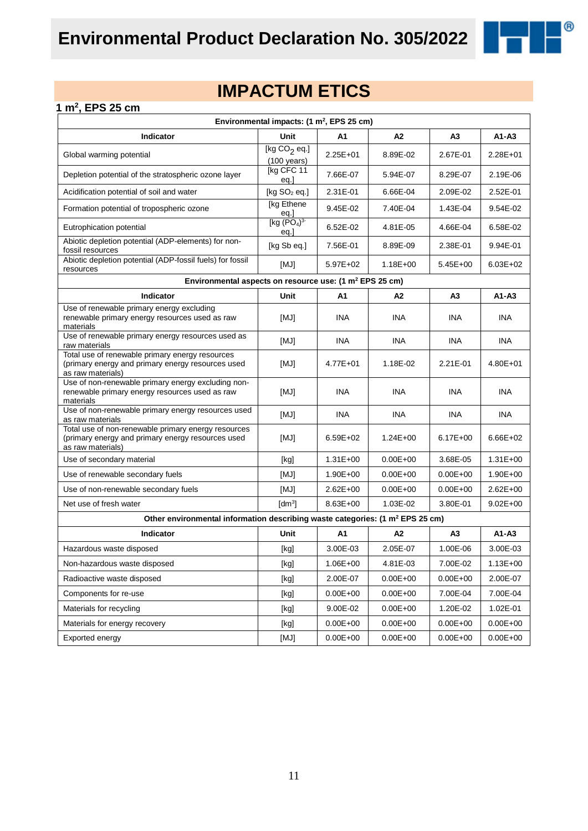

 $^{\circledR}$ 

#### **1 m<sup>2</sup> , EPS 25 cm**

| Environmental impacts: (1 m <sup>2</sup> , EPS 25 cm)                                                                         |                                                                                                                                                                                                                                                                                                                                                                                                                                                                                                                                                                                                                                                                    |              |                |                |              |  |  |
|-------------------------------------------------------------------------------------------------------------------------------|--------------------------------------------------------------------------------------------------------------------------------------------------------------------------------------------------------------------------------------------------------------------------------------------------------------------------------------------------------------------------------------------------------------------------------------------------------------------------------------------------------------------------------------------------------------------------------------------------------------------------------------------------------------------|--------------|----------------|----------------|--------------|--|--|
| Indicator                                                                                                                     | <b>Unit</b>                                                                                                                                                                                                                                                                                                                                                                                                                                                                                                                                                                                                                                                        | A1           | A2             | A <sub>3</sub> | $A1 - A3$    |  |  |
| Global warming potential                                                                                                      | [kg $CO2$ eq.]<br>$(100 \text{ years})$                                                                                                                                                                                                                                                                                                                                                                                                                                                                                                                                                                                                                            | $2.25E + 01$ | 8.89E-02       | 2.67E-01       | 2.28E+01     |  |  |
| Depletion potential of the stratospheric ozone layer                                                                          | [kg CFC 11<br>eq.]                                                                                                                                                                                                                                                                                                                                                                                                                                                                                                                                                                                                                                                 | 7.66E-07     | 5.94E-07       | 8.29E-07       | 2.19E-06     |  |  |
| Acidification potential of soil and water                                                                                     | [kg $SO2$ eq.]                                                                                                                                                                                                                                                                                                                                                                                                                                                                                                                                                                                                                                                     | 2.31E-01     | 6.66E-04       | 2.09E-02       | 2.52E-01     |  |  |
| Formation potential of tropospheric ozone                                                                                     | [kg Ethene<br>eq.]                                                                                                                                                                                                                                                                                                                                                                                                                                                                                                                                                                                                                                                 | $9.45E - 02$ | 7.40E-04       | 1.43E-04       | $9.54E - 02$ |  |  |
| Eutrophication potential                                                                                                      | [kg $(PO4)3$<br>eq.                                                                                                                                                                                                                                                                                                                                                                                                                                                                                                                                                                                                                                                | 6.52E-02     | 4.81E-05       | 4.66E-04       | 6.58E-02     |  |  |
| Abiotic depletion potential (ADP-elements) for non-<br>fossil resources                                                       | [kg Sb eq.]                                                                                                                                                                                                                                                                                                                                                                                                                                                                                                                                                                                                                                                        | 7.56E-01     | 8.89E-09       | 2.38E-01       | 9.94E-01     |  |  |
| Abiotic depletion potential (ADP-fossil fuels) for fossil<br>resources                                                        | [MJ]                                                                                                                                                                                                                                                                                                                                                                                                                                                                                                                                                                                                                                                               | 5.97E+02     | $1.18E + 00$   | $5.45E + 00$   | $6.03E + 02$ |  |  |
| Environmental aspects on resource use: (1 m <sup>2</sup> EPS 25 cm)                                                           |                                                                                                                                                                                                                                                                                                                                                                                                                                                                                                                                                                                                                                                                    |              |                |                |              |  |  |
| Indicator                                                                                                                     | Unit                                                                                                                                                                                                                                                                                                                                                                                                                                                                                                                                                                                                                                                               | A1           | A2             | A3             | $A1 - A3$    |  |  |
| Use of renewable primary energy excluding<br>renewable primary energy resources used as raw<br>materials                      | [MJ]                                                                                                                                                                                                                                                                                                                                                                                                                                                                                                                                                                                                                                                               | <b>INA</b>   | INA            | <b>INA</b>     | <b>INA</b>   |  |  |
| Use of renewable primary energy resources used as<br>raw materials                                                            | [MJ]                                                                                                                                                                                                                                                                                                                                                                                                                                                                                                                                                                                                                                                               | <b>INA</b>   | <b>INA</b>     | <b>INA</b>     | INA.         |  |  |
| Total use of renewable primary energy resources<br>(primary energy and primary energy resources used<br>as raw materials)     | [MJ]                                                                                                                                                                                                                                                                                                                                                                                                                                                                                                                                                                                                                                                               | $4.77E + 01$ | 1.18E-02       | 2.21E-01       | $4.80E + 01$ |  |  |
| Use of non-renewable primary energy excluding non-<br>renewable primary energy resources used as raw<br>materials             | [MJ]                                                                                                                                                                                                                                                                                                                                                                                                                                                                                                                                                                                                                                                               | <b>INA</b>   | <b>INA</b>     | <b>INA</b>     | <b>INA</b>   |  |  |
| Use of non-renewable primary energy resources used<br>as raw materials                                                        | [MJ]                                                                                                                                                                                                                                                                                                                                                                                                                                                                                                                                                                                                                                                               | <b>INA</b>   | <b>INA</b>     | <b>INA</b>     | <b>INA</b>   |  |  |
| Total use of non-renewable primary energy resources<br>(primary energy and primary energy resources used<br>as raw materials) | [MJ]                                                                                                                                                                                                                                                                                                                                                                                                                                                                                                                                                                                                                                                               | $6.59E + 02$ | $1.24E + 00$   | $6.17E + 00$   | $6.66E + 02$ |  |  |
| Use of secondary material                                                                                                     | [kg]                                                                                                                                                                                                                                                                                                                                                                                                                                                                                                                                                                                                                                                               | $1.31E + 00$ | $0.00E + 00$   | 3.68E-05       | $1.31E + 00$ |  |  |
| Use of renewable secondary fuels                                                                                              | [MJ]                                                                                                                                                                                                                                                                                                                                                                                                                                                                                                                                                                                                                                                               | 1.90E+00     | $0.00E + 00$   | $0.00E + 00$   | $1.90E + 00$ |  |  |
| Use of non-renewable secondary fuels                                                                                          | [MJ]                                                                                                                                                                                                                                                                                                                                                                                                                                                                                                                                                                                                                                                               | $2.62E + 00$ | $0.00E + 00$   | $0.00E + 00$   | $2.62E + 00$ |  |  |
| Net use of fresh water                                                                                                        | $\text{[dm}^3$                                                                                                                                                                                                                                                                                                                                                                                                                                                                                                                                                                                                                                                     | $8.63E + 00$ | 1.03E-02       | 3.80E-01       | $9.02E + 00$ |  |  |
| Other environmental information describing waste categories: (1 m <sup>2</sup> EPS 25 cm)                                     |                                                                                                                                                                                                                                                                                                                                                                                                                                                                                                                                                                                                                                                                    |              |                |                |              |  |  |
| Indicator                                                                                                                     | Unit                                                                                                                                                                                                                                                                                                                                                                                                                                                                                                                                                                                                                                                               | A1           | A <sub>2</sub> | A <sub>3</sub> | $A1 - A3$    |  |  |
| Hazardous waste disposed                                                                                                      | [kg]                                                                                                                                                                                                                                                                                                                                                                                                                                                                                                                                                                                                                                                               | 3.00E-03     | 2.05E-07       | 1.00E-06       | 3.00E-03     |  |  |
| Non-hazardous waste disposed                                                                                                  | [kg]                                                                                                                                                                                                                                                                                                                                                                                                                                                                                                                                                                                                                                                               | $1.06E + 00$ | 4.81E-03       | 7.00E-02       | $1.13E + 00$ |  |  |
| Radioactive waste disposed                                                                                                    | [kg]                                                                                                                                                                                                                                                                                                                                                                                                                                                                                                                                                                                                                                                               | 2.00E-07     | $0.00E + 00$   | $0.00E + 00$   | 2.00E-07     |  |  |
| Components for re-use                                                                                                         | $[kg] % \begin{center} % \includegraphics[width=\linewidth]{imagesSupplemental_3.png} % \end{center} % \caption { % \textit{DefNet} of the \textit{DefNet} dataset. % Note that the \textit{DefNet} and \textit{DefNet} dataset. % Note that the \textit{DefNet} and \textit{DefNet} dataset. % Note that the \textit{DefNet} and \textit{DefNet} dataset. % Note that the \textit{DefNet} and \textit{DefNet} dataset. % Note that the \textit{DefNet} and \textit{DefNet} dataset. % Note that the \textit{DefNet} and \textit{DefNet} dataset. % Note that the \textit{DefNet} and \textit{DefNet} dataset. % Note that the \textit{DefNet} and \textit{DefNet$ | $0.00E + 00$ | $0.00E + 00$   | 7.00E-04       | 7.00E-04     |  |  |
| Materials for recycling                                                                                                       | [kg]                                                                                                                                                                                                                                                                                                                                                                                                                                                                                                                                                                                                                                                               | 9.00E-02     | $0.00E + 00$   | 1.20E-02       | 1.02E-01     |  |  |
| Materials for energy recovery                                                                                                 | [kg]                                                                                                                                                                                                                                                                                                                                                                                                                                                                                                                                                                                                                                                               | $0.00E + 00$ | $0.00E + 00$   | $0.00E + 00$   | $0.00E + 00$ |  |  |
| Exported energy                                                                                                               | [MJ]                                                                                                                                                                                                                                                                                                                                                                                                                                                                                                                                                                                                                                                               | $0.00E + 00$ | $0.00E + 00$   | $0.00E + 00$   | $0.00E + 00$ |  |  |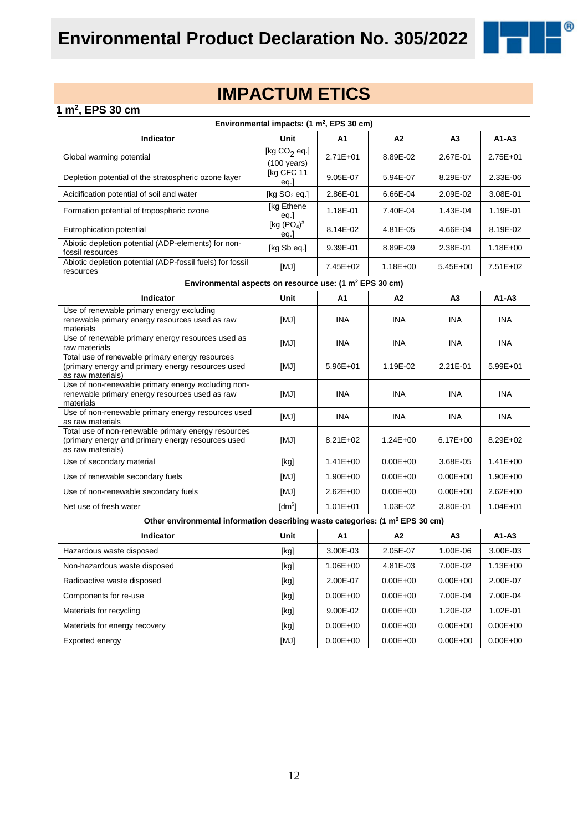

# **IMPACTUM ETICS**

#### **1 m<sup>2</sup> , EPS 30 cm**

|                                                                                                                               | Environmental impacts: (1 m <sup>2</sup> , EPS 30 cm)                                                                                                                                                                                                                                                                                                                                                                                                                                                                                                                                                                                                              |              |              |                |              |
|-------------------------------------------------------------------------------------------------------------------------------|--------------------------------------------------------------------------------------------------------------------------------------------------------------------------------------------------------------------------------------------------------------------------------------------------------------------------------------------------------------------------------------------------------------------------------------------------------------------------------------------------------------------------------------------------------------------------------------------------------------------------------------------------------------------|--------------|--------------|----------------|--------------|
| Indicator                                                                                                                     | <b>Unit</b>                                                                                                                                                                                                                                                                                                                                                                                                                                                                                                                                                                                                                                                        | A1           | A2           | A <sub>3</sub> | $A1 - A3$    |
| Global warming potential                                                                                                      | [kg $CO2$ eq.]<br>$(100 \text{ years})$                                                                                                                                                                                                                                                                                                                                                                                                                                                                                                                                                                                                                            | $2.71E + 01$ | 8.89E-02     | 2.67E-01       | 2.75E+01     |
| Depletion potential of the stratospheric ozone layer                                                                          | [kg CFC 11<br>eq.]                                                                                                                                                                                                                                                                                                                                                                                                                                                                                                                                                                                                                                                 | 9.05E-07     | 5.94E-07     | 8.29E-07       | 2.33E-06     |
| Acidification potential of soil and water                                                                                     | [kg $SO2$ eq.]                                                                                                                                                                                                                                                                                                                                                                                                                                                                                                                                                                                                                                                     | 2.86E-01     | 6.66E-04     | 2.09E-02       | 3.08E-01     |
| Formation potential of tropospheric ozone                                                                                     | [kg Ethene<br>eq.]                                                                                                                                                                                                                                                                                                                                                                                                                                                                                                                                                                                                                                                 | 1.18E-01     | 7.40E-04     | 1.43E-04       | 1.19E-01     |
| Eutrophication potential                                                                                                      | [kg (PO <sub>4</sub> ) <sup>3</sup> ]<br>eq.                                                                                                                                                                                                                                                                                                                                                                                                                                                                                                                                                                                                                       | 8.14E-02     | 4.81E-05     | 4.66E-04       | 8.19E-02     |
| Abiotic depletion potential (ADP-elements) for non-<br>fossil resources                                                       | [kg Sb eq.]                                                                                                                                                                                                                                                                                                                                                                                                                                                                                                                                                                                                                                                        | 9.39E-01     | 8.89E-09     | 2.38E-01       | $1.18E + 00$ |
| Abiotic depletion potential (ADP-fossil fuels) for fossil<br>resources                                                        | [MJ]                                                                                                                                                                                                                                                                                                                                                                                                                                                                                                                                                                                                                                                               | 7.45E+02     | 1.18E+00     | $5.45E + 00$   | $7.51E + 02$ |
| Environmental aspects on resource use: (1 m <sup>2</sup> EPS 30 cm)                                                           |                                                                                                                                                                                                                                                                                                                                                                                                                                                                                                                                                                                                                                                                    |              |              |                |              |
| Indicator                                                                                                                     | Unit                                                                                                                                                                                                                                                                                                                                                                                                                                                                                                                                                                                                                                                               | A1           | A2           | A3             | $A1 - A3$    |
| Use of renewable primary energy excluding<br>renewable primary energy resources used as raw<br>materials                      | [MJ]                                                                                                                                                                                                                                                                                                                                                                                                                                                                                                                                                                                                                                                               | <b>INA</b>   | INA          | INA            | <b>INA</b>   |
| Use of renewable primary energy resources used as<br>raw materials                                                            | [MJ]                                                                                                                                                                                                                                                                                                                                                                                                                                                                                                                                                                                                                                                               | <b>INA</b>   | <b>INA</b>   | <b>INA</b>     | <b>INA</b>   |
| Total use of renewable primary energy resources<br>(primary energy and primary energy resources used<br>as raw materials)     | [MJ]                                                                                                                                                                                                                                                                                                                                                                                                                                                                                                                                                                                                                                                               | $5.96E + 01$ | 1.19E-02     | 2.21E-01       | $5.99E + 01$ |
| Use of non-renewable primary energy excluding non-<br>renewable primary energy resources used as raw<br>materials             | [MJ]                                                                                                                                                                                                                                                                                                                                                                                                                                                                                                                                                                                                                                                               | INA          | INA          | INA            | <b>INA</b>   |
| Use of non-renewable primary energy resources used<br>as raw materials                                                        | [MJ]                                                                                                                                                                                                                                                                                                                                                                                                                                                                                                                                                                                                                                                               | <b>INA</b>   | <b>INA</b>   | <b>INA</b>     | <b>INA</b>   |
| Total use of non-renewable primary energy resources<br>(primary energy and primary energy resources used<br>as raw materials) | [MJ]                                                                                                                                                                                                                                                                                                                                                                                                                                                                                                                                                                                                                                                               | $8.21E + 02$ | $1.24E + 00$ | $6.17E + 00$   | 8.29E+02     |
| Use of secondary material                                                                                                     | [kg]                                                                                                                                                                                                                                                                                                                                                                                                                                                                                                                                                                                                                                                               | $1.41E + 00$ | $0.00E + 00$ | 3.68E-05       | $1.41E + 00$ |
| Use of renewable secondary fuels                                                                                              | [MJ]                                                                                                                                                                                                                                                                                                                                                                                                                                                                                                                                                                                                                                                               | $1.90E + 00$ | $0.00E + 00$ | $0.00E + 00$   | $1.90E + 00$ |
| Use of non-renewable secondary fuels                                                                                          | [MJ]                                                                                                                                                                                                                                                                                                                                                                                                                                                                                                                                                                                                                                                               | $2.62E + 00$ | $0.00E + 00$ | $0.00E + 00$   | $2.62E + 00$ |
| Net use of fresh water                                                                                                        | [dm <sup>3</sup> ]                                                                                                                                                                                                                                                                                                                                                                                                                                                                                                                                                                                                                                                 | $1.01E + 01$ | 1.03E-02     | 3.80E-01       | $1.04E + 01$ |
| Other environmental information describing waste categories: (1 m <sup>2</sup> EPS 30 cm)                                     |                                                                                                                                                                                                                                                                                                                                                                                                                                                                                                                                                                                                                                                                    |              |              |                |              |
| Indicator                                                                                                                     | Unit                                                                                                                                                                                                                                                                                                                                                                                                                                                                                                                                                                                                                                                               | A1           | A2           | A <sub>3</sub> | $A1 - A3$    |
| Hazardous waste disposed                                                                                                      | [kg]                                                                                                                                                                                                                                                                                                                                                                                                                                                                                                                                                                                                                                                               | 3.00E-03     | 2.05E-07     | 1.00E-06       | 3.00E-03     |
| Non-hazardous waste disposed                                                                                                  | [kg]                                                                                                                                                                                                                                                                                                                                                                                                                                                                                                                                                                                                                                                               | 1.06E+00     | 4.81E-03     | 7.00E-02       | $1.13E + 00$ |
| Radioactive waste disposed                                                                                                    | [kg]                                                                                                                                                                                                                                                                                                                                                                                                                                                                                                                                                                                                                                                               | 2.00E-07     | $0.00E + 00$ | $0.00E + 00$   | 2.00E-07     |
| Components for re-use                                                                                                         | $[kg] % \begin{center} % \includegraphics[width=\linewidth]{imagesSupplemental_3.png} % \end{center} % \caption { % \textit{DefNet} of the \textit{DefNet} dataset. % Note that the \textit{DefNet} and \textit{DefNet} dataset. % Note that the \textit{DefNet} and \textit{DefNet} dataset. % Note that the \textit{DefNet} and \textit{DefNet} dataset. % Note that the \textit{DefNet} and \textit{DefNet} dataset. % Note that the \textit{DefNet} and \textit{DefNet} dataset. % Note that the \textit{DefNet} and \textit{DefNet} dataset. % Note that the \textit{DefNet} and \textit{DefNet} dataset. % Note that the \textit{DefNet} and \textit{DefNet$ | $0.00E + 00$ | $0.00E + 00$ | 7.00E-04       | 7.00E-04     |
| Materials for recycling                                                                                                       | $[kg]$                                                                                                                                                                                                                                                                                                                                                                                                                                                                                                                                                                                                                                                             | 9.00E-02     | $0.00E + 00$ | 1.20E-02       | 1.02E-01     |
| Materials for energy recovery                                                                                                 | [kg]                                                                                                                                                                                                                                                                                                                                                                                                                                                                                                                                                                                                                                                               | $0.00E + 00$ | $0.00E + 00$ | $0.00E + 00$   | $0.00E + 00$ |
| Exported energy                                                                                                               | [MJ]                                                                                                                                                                                                                                                                                                                                                                                                                                                                                                                                                                                                                                                               | $0.00E + 00$ | $0.00E + 00$ | $0.00E + 00$   | $0.00E + 00$ |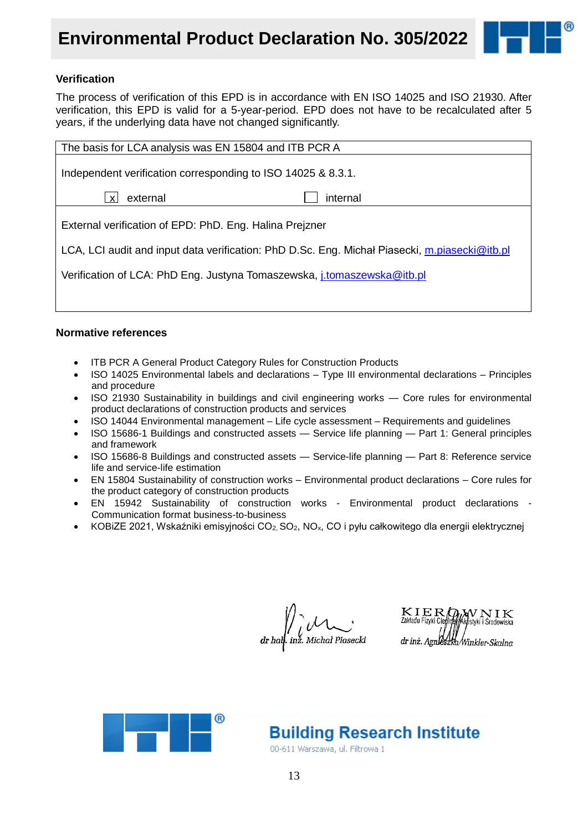## **Environmental Product Declaration No. 305/2022**



#### **Verification**

The process of verification of this EPD is in accordance with EN ISO 14025 and ISO 21930. After verification, this EPD is valid for a 5-year-period. EPD does not have to be recalculated after 5 years, if the underlying data have not changed significantly.

| The basis for LCA analysis was EN 15804 and ITB PCR A                                         |          |  |  |  |  |  |
|-----------------------------------------------------------------------------------------------|----------|--|--|--|--|--|
| Independent verification corresponding to ISO 14025 & 8.3.1.                                  |          |  |  |  |  |  |
| external                                                                                      | internal |  |  |  |  |  |
| External verification of EPD: PhD. Eng. Halina Preizner                                       |          |  |  |  |  |  |
| LCA, LCI audit and input data verification: PhD D.Sc. Eng. Michal Piasecki, m.piasecki@itb.pl |          |  |  |  |  |  |
| Verification of LCA: PhD Eng. Justyna Tomaszewska, <i>j.tomaszewska@itb.pl</i>                |          |  |  |  |  |  |
|                                                                                               |          |  |  |  |  |  |

#### **Normative references**

- ITB PCR A General Product Category Rules for Construction Products
- ISO 14025 Environmental labels and declarations Type III environmental declarations Principles and procedure
- ISO 21930 Sustainability in buildings and civil engineering works Core rules for environmental product declarations of construction products and services
- ISO 14044 Environmental management Life cycle assessment Requirements and guidelines
- ISO 15686-1 Buildings and constructed assets Service life planning Part 1: General principles and framework
- ISO 15686-8 Buildings and constructed assets Service-life planning Part 8: Reference service life and service-life estimation
- EN 15804 Sustainability of construction works Environmental product declarations Core rules for the product category of construction products
- EN 15942 Sustainability of construction works Environmental product declarations Communication format business-to-business
- KOBiZE 2021, Wskaźniki emisyjności CO<sub>2</sub>, SO<sub>2</sub>, NO<sub>x</sub>, CO i pyłu całkowitego dla energii elektrycznej

 $\frac{1}{d} \int_{d} U^{\vee}$  dr half. inz. Michał Piasecki

 $\mathcal{Q}_l$  w n i k KIER Zakładu Fizyki Cien dr inż. Agnieszka/Winkler-Skalna



**Building Research Institute** 

00-611 Warszawa, ul. Filtrowa 1